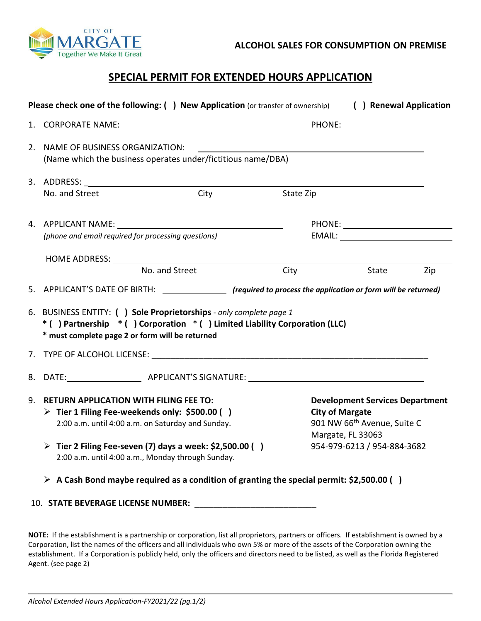

## **SPECIAL PERMIT FOR EXTENDED HOURS APPLICATION**

| Please check one of the following: () New Application (or transfer of ownership)                                                                                                                                                                                                 |                |                                                                                                                                                                                                                                                                             | ( ) Renewal Application |     |
|----------------------------------------------------------------------------------------------------------------------------------------------------------------------------------------------------------------------------------------------------------------------------------|----------------|-----------------------------------------------------------------------------------------------------------------------------------------------------------------------------------------------------------------------------------------------------------------------------|-------------------------|-----|
|                                                                                                                                                                                                                                                                                  |                |                                                                                                                                                                                                                                                                             |                         |     |
| 2. NAME OF BUSINESS ORGANIZATION:<br>(Name which the business operates under/fictitious name/DBA)                                                                                                                                                                                |                |                                                                                                                                                                                                                                                                             |                         |     |
|                                                                                                                                                                                                                                                                                  |                |                                                                                                                                                                                                                                                                             |                         |     |
| No. and Street                                                                                                                                                                                                                                                                   | City           | State Zip                                                                                                                                                                                                                                                                   |                         |     |
|                                                                                                                                                                                                                                                                                  |                |                                                                                                                                                                                                                                                                             |                         |     |
| (phone and email required for processing questions)                                                                                                                                                                                                                              |                |                                                                                                                                                                                                                                                                             |                         |     |
|                                                                                                                                                                                                                                                                                  |                |                                                                                                                                                                                                                                                                             |                         |     |
|                                                                                                                                                                                                                                                                                  | No. and Street | City                                                                                                                                                                                                                                                                        | State                   | Zip |
| 5. APPLICANT'S DATE OF BIRTH: (required to process the application or form will be returned)                                                                                                                                                                                     |                |                                                                                                                                                                                                                                                                             |                         |     |
| 6. BUSINESS ENTITY: () Sole Proprietorships - only complete page 1<br>* () Partnership * () Corporation * () Limited Liability Corporation (LLC)<br>* must complete page 2 or form will be returned                                                                              |                |                                                                                                                                                                                                                                                                             |                         |     |
|                                                                                                                                                                                                                                                                                  |                |                                                                                                                                                                                                                                                                             |                         |     |
|                                                                                                                                                                                                                                                                                  |                |                                                                                                                                                                                                                                                                             |                         |     |
| 9. RETURN APPLICATION WITH FILING FEE TO:<br>> Tier 1 Filing Fee-weekends only: \$500.00 ()<br>2:00 a.m. until 4:00 a.m. on Saturday and Sunday.<br>$\triangleright$ Tier 2 Filing Fee-seven (7) days a week: \$2,500.00 ()<br>2:00 a.m. until 4:00 a.m., Monday through Sunday. |                | <b>Development Services Department</b><br><b>City of Margate</b><br>901 NW 66 <sup>th</sup> Avenue, Suite C<br>Margate, FL 33063<br>954-979-6213 / 954-884-3682<br>$\triangleright$ A Cash Bond maybe required as a condition of granting the special permit: \$2,500.00 () |                         |     |
| 10. STATE BEVERAGE LICENSE NUMBER:                                                                                                                                                                                                                                               |                |                                                                                                                                                                                                                                                                             |                         |     |

**NOTE:** If the establishment is a partnership or corporation, list all proprietors, partners or officers. If establishment is owned by a Corporation, list the names of the officers and all individuals who own 5% or more of the assets of the Corporation owning the establishment. If a Corporation is publicly held, only the officers and directors need to be listed, as well as the Florida Registered Agent. (see page 2)